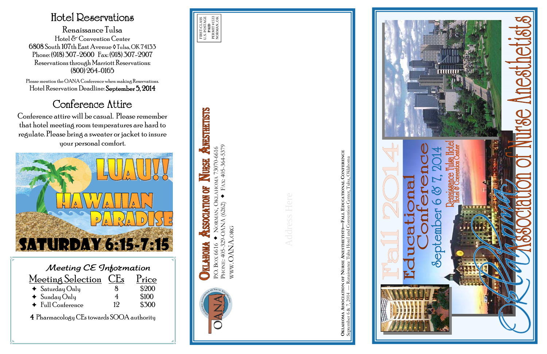| Meeting CE Information          |                 |       |  |
|---------------------------------|-----------------|-------|--|
| Meeting Selection               | CE <sub>s</sub> | Price |  |
| $\triangleleft$ Saturday Only   |                 | \$200 |  |
| $\triangleleft$ Sunday Only     | 4               | \$100 |  |
| $\triangleleft$ Full Conference | 19              | \$500 |  |

4 Pharmacology CEs towards SOOA authority

### Hotel Reservations

Renaissance Tulsa Hotel & Convention Center 6808 South 107th East Avenue ◊ Tulsa, OK 74133 Phone: (918) 307-2600 Fax: (918) 307-2907 Reservations through Marriott Reservations: (800) 264-0165

> **OKLAHOMA ASSOCIATION OF NURSE ANESTHETISTS—FALL EDUCATIONAL CONFERENCE** September 6 & 7, 2014 — Renaissance Tulsa Hotel and Convention Center, Tulsa, Oklahoma Ē



Please mention the OANA Conference when making Reservations. Hotel Reservation Deadline: September 5, 2014

## Conference Attire

Conference attire will be casual. Please remember that hotel meeting room temperatures are hard to regulate. Please bring a sweater or jacket to insure your personal comfort.

PHONE: 405-329-OANA (6262) FAX: 405-364-5379

PHONE: 405-329-OANA (6262)

WWW.OANA.ORG

WWW.OANA.ORG





# ANESTHETISTS HOMA 73070-6616<br>FAX: 405-364-5379 P.O. BOX 6616 NORMAN, OKLAHOMA 73070-6616 URSH **AHOMA** E SSOCIATION **DKI** P.O. BOX 6616 **KLAHOMA**